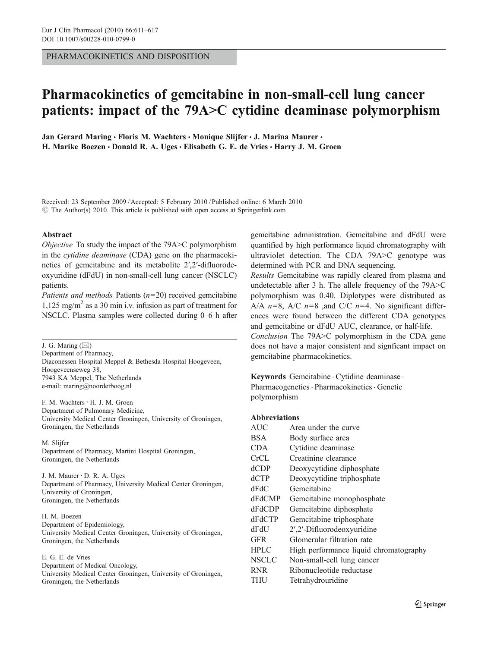PHARMACOKINETICS AND DISPOSITION

# Pharmacokinetics of gemcitabine in non-small-cell lung cancer patients: impact of the 79A>C cytidine deaminase polymorphism

Jan Gerard Maring · Floris M. Wachters · Monique Slijfer · J. Marina Maurer · H. Marike Boezen · Donald R. A. Uges · Elisabeth G. E. de Vries · Harry J. M. Groen

Received: 23 September 2009 /Accepted: 5 February 2010 / Published online: 6 March 2010  $\circ$  The Author(s) 2010. This article is published with open access at Springerlink.com

#### Abstract

Objective To study the impact of the 79A>C polymorphism in the cytidine deaminase (CDA) gene on the pharmacokinetics of gemcitabine and its metabolite 2′,2′-difluorodeoxyuridine (dFdU) in non-small-cell lung cancer (NSCLC) patients.

Patients and methods Patients  $(n=20)$  received gemcitabine 1,125 mg/m<sup>2</sup> as a 30 min i.v. infusion as part of treatment for NSCLC. Plasma samples were collected during 0–6 h after

J. G. Maring  $(\boxtimes)$ Department of Pharmacy, Diaconessen Hospital Meppel & Bethesda Hospital Hoogeveen, Hoogeveenseweg 38, 7943 KA Meppel, The Netherlands e-mail: maring@noorderboog.nl

F. M. Wachters · H. J. M. Groen Department of Pulmonary Medicine, University Medical Center Groningen, University of Groningen, Groningen, the Netherlands

M. Slijfer Department of Pharmacy, Martini Hospital Groningen, Groningen, the Netherlands

J. M. Maurer : D. R. A. Uges Department of Pharmacy, University Medical Center Groningen, University of Groningen, Groningen, the Netherlands

H. M. Boezen Department of Epidemiology, University Medical Center Groningen, University of Groningen, Groningen, the Netherlands

E. G. E. de Vries Department of Medical Oncology, University Medical Center Groningen, University of Groningen, Groningen, the Netherlands

gemcitabine administration. Gemcitabine and dFdU were quantified by high performance liquid chromatography with ultraviolet detection. The CDA 79A>C genotype was determined with PCR and DNA sequencing.

Results Gemcitabine was rapidly cleared from plasma and undetectable after 3 h. The allele frequency of the 79A>C polymorphism was 0.40. Diplotypes were distributed as A/A  $n=8$ , A/C  $n=8$  ,and C/C  $n=4$ . No significant differences were found between the different CDA genotypes and gemcitabine or dFdU AUC, clearance, or half-life. Conclusion The 79A>C polymorphism in the CDA gene does not have a major consistent and signficant impact on gemcitabine pharmacokinetics.

Keywords Gemcitabine . Cytidine deaminase . Pharmacogenetics. Pharmacokinetics. Genetic polymorphism

#### Abbreviations

| <b>AUC</b>    | Area under the curve                   |
|---------------|----------------------------------------|
| <b>BSA</b>    | Body surface area                      |
| <b>CDA</b>    | Cytidine deaminase                     |
| CrCL          | Creatinine clearance                   |
| dCDP          | Deoxycytidine diphosphate              |
| dCTP          | Deoxycytidine triphosphate             |
| dFdC          | Gemcitabine                            |
| <b>dFdCMP</b> | Gemcitabine monophosphate              |
| dFdCDP        | Gemcitabine diphosphate                |
| <b>dFdCTP</b> | Gemcitabine triphosphate               |
| dFdU          | 2',2'-Difluorodeoxyuridine             |
| <b>GFR</b>    | Glomerular filtration rate             |
| <b>HPLC</b>   | High performance liquid chromatography |
| <b>NSCLC</b>  | Non-small-cell lung cancer             |
| <b>RNR</b>    | Ribonucleotide reductase               |
| THU           | Tetrahydrouridine                      |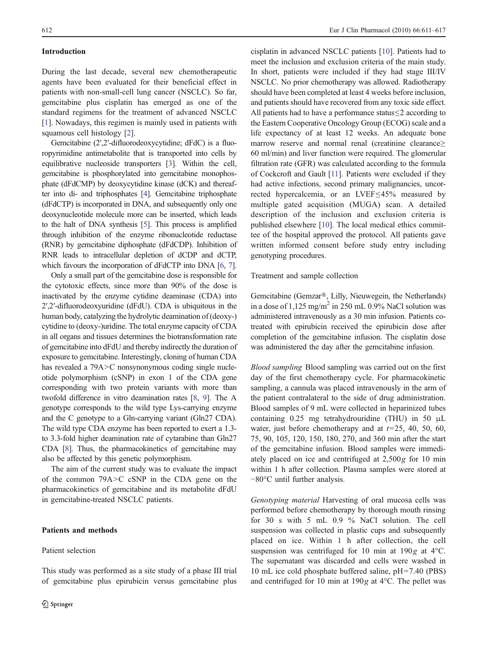#### Introduction

During the last decade, several new chemotherapeutic agents have been evaluated for their beneficial effect in patients with non-small-cell lung cancer (NSCLC). So far, gemcitabine plus cisplatin has emerged as one of the standard regimens for the treatment of advanced NSCLC [\[1](#page-5-0)]. Nowadays, this regimen is mainly used in patients with squamous cell histology [[2\]](#page-6-0).

Gemcitabine (2′,2′-difluorodeoxycytidine; dFdC) is a fluoropyrimidine antimetabolite that is transported into cells by equilibrative nucleoside transporters [[3](#page-6-0)]. Within the cell, gemcitabine is phosphorylated into gemcitabine monophosphate (dFdCMP) by deoxycytidine kinase (dCK) and thereafter into di- and triphosphates [\[4\]](#page-6-0). Gemcitabine triphosphate (dFdCTP) is incorporated in DNA, and subsequently only one deoxynucleotide molecule more can be inserted, which leads to the halt of DNA synthesis [\[5\]](#page-6-0). This process is amplified through inhibition of the enzyme ribonucleotide reductase (RNR) by gemcitabine diphosphate (dFdCDP). Inhibition of RNR leads to intracellular depletion of dCDP and dCTP, which favours the incorporation of dFdCTP into DNA [[6](#page-6-0), [7\]](#page-6-0).

Only a small part of the gemcitabine dose is responsible for the cytotoxic effects, since more than 90% of the dose is inactivated by the enzyme cytidine deaminase (CDA) into 2′,2′-difluorodeoxyuridine (dFdU). CDA is ubiquitous in the human body, catalyzing the hydrolytic deamination of (deoxy-) cytidine to (deoxy-)uridine. The total enzyme capacity of CDA in all organs and tissues determines the biotransformation rate of gemcitabine into dFdU and thereby indirectly the duration of exposure to gemcitabine. Interestingly, cloning of human CDA has revealed a 79A>C nonsynonymous coding single nucleotide polymorphism (cSNP) in exon 1 of the CDA gene corresponding with two protein variants with more than twofold difference in vitro deamination rates [[8,](#page-6-0) [9](#page-6-0)]. The A genotype corresponds to the wild type Lys-carrying enzyme and the C genotype to a Gln-carrying variant (Gln27 CDA). The wild type CDA enzyme has been reported to exert a 1.3 to 3.3-fold higher deamination rate of cytarabine than Gln27 CDA [\[8](#page-6-0)]. Thus, the pharmacokinetics of gemcitabine may also be affected by this genetic polymorphism.

The aim of the current study was to evaluate the impact of the common 79A>C cSNP in the CDA gene on the pharmacokinetics of gemcitabine and its metabolite dFdU in gemcitabine-treated NSCLC patients.

#### Patients and methods

Patient selection

This study was performed as a site study of a phase III trial of gemcitabine plus epirubicin versus gemcitabine plus cisplatin in advanced NSCLC patients [[10\]](#page-6-0). Patients had to meet the inclusion and exclusion criteria of the main study. In short, patients were included if they had stage III/IV NSCLC. No prior chemotherapy was allowed. Radiotherapy should have been completed at least 4 weeks before inclusion, and patients should have recovered from any toxic side effect. All patients had to have a performance status≤2 according to the Eastern Cooperative Oncology Group (ECOG) scale and a life expectancy of at least 12 weeks. An adequate bone marrow reserve and normal renal (creatinine clearance≥ 60 ml/min) and liver function were required. The glomerular filtration rate (GFR) was calculated according to the formula of Cockcroft and Gault [\[11](#page-6-0)]. Patients were excluded if they had active infections, second primary malignancies, uncorrected hypercalcemia, or an LVEF≤45% measured by multiple gated acquisition (MUGA) scan. A detailed description of the inclusion and exclusion criteria is published elsewhere [\[10](#page-6-0)]. The local medical ethics committee of the hospital approved the protocol. All patients gave written informed consent before study entry including genotyping procedures.

Treatment and sample collection

Gemcitabine (Gemzar®, Lilly, Nieuwegein, the Netherlands) in a dose of  $1,125 \text{ mg/m}^2$  in 250 mL 0.9% NaCl solution was administered intravenously as a 30 min infusion. Patients cotreated with epirubicin received the epirubicin dose after completion of the gemcitabine infusion. The cisplatin dose was administered the day after the gemcitabine infusion.

Blood sampling Blood sampling was carried out on the first day of the first chemotherapy cycle. For pharmacokinetic sampling, a cannula was placed intravenously in the arm of the patient contralateral to the side of drug administration. Blood samples of 9 mL were collected in heparinized tubes containing 0.25 mg tetrahydrouridine (THU) in 50 μL water, just before chemotherapy and at  $t=25$ , 40, 50, 60, 75, 90, 105, 120, 150, 180, 270, and 360 min after the start of the gemcitabine infusion. Blood samples were immediately placed on ice and centrifuged at 2,500g for 10 min within 1 h after collection. Plasma samples were stored at −80°C until further analysis.

Genotyping material Harvesting of oral mucosa cells was performed before chemotherapy by thorough mouth rinsing for 30 s with 5 mL 0.9 % NaCl solution. The cell suspension was collected in plastic cups and subsequently placed on ice. Within 1 h after collection, the cell suspension was centrifuged for 10 min at 190g at 4°C. The supernatant was discarded and cells were washed in 10 mL ice cold phosphate buffered saline, pH=7.40 (PBS) and centrifuged for 10 min at 190g at 4°C. The pellet was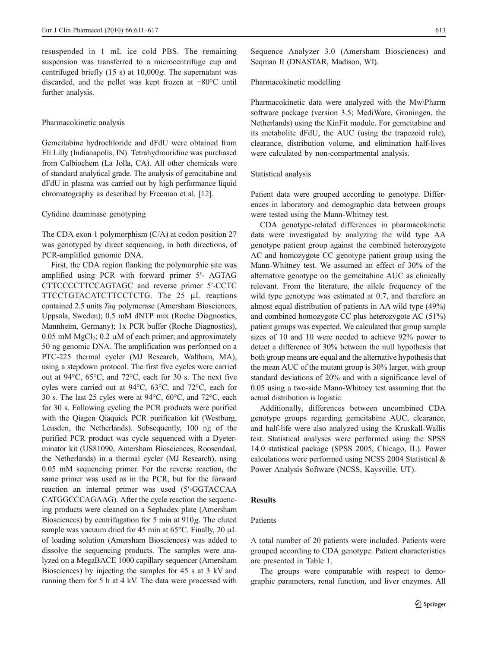resuspended in 1 mL ice cold PBS. The remaining suspension was transferred to a microcentrifuge cup and centrifuged briefly  $(15 s)$  at  $10,000g$ . The supernatant was discarded, and the pellet was kept frozen at −80°C until further analysis.

#### Pharmacokinetic analysis

Gemcitabine hydrochloride and dFdU were obtained from Eli Lilly (Indianapolis, IN). Tetrahydrouridine was purchased from Calbiochem (La Jolla, CA). All other chemicals were of standard analytical grade. The analysis of gemcitabine and dFdU in plasma was carried out by high performance liquid chromatography as described by Freeman et al. [\[12](#page-6-0)].

#### Cytidine deaminase genotyping

The CDA exon 1 polymorphism (C/A) at codon position 27 was genotyped by direct sequencing, in both directions, of PCR-amplified genomic DNA.

First, the CDA region flanking the polymorphic site was amplified using PCR with forward primer 5′- AGTAG CTTCCCCTTCCAGTAGC and reverse primer 5′-CCTC TTCCTGTACATCTTCCTCTG. The 25 μL reactions contained 2.5 units Taq polymerase (Amersham Biosciences, Uppsala, Sweden); 0.5 mM dNTP mix (Roche Diagnostics, Mannheim, Germany); 1x PCR buffer (Roche Diagnostics), 0.05 mM  $MgCl<sub>2</sub>$ ; 0.2 µM of each primer; and approximately 50 ng genomic DNA. The amplification was performed on a PTC-225 thermal cycler (MJ Research, Waltham, MA), using a stepdown protocol. The first five cycles were carried out at 94°C, 65°C, and 72°C, each for 30 s. The next five cyles were carried out at 94°C, 63°C, and 72°C, each for 30 s. The last 25 cyles were at 94°C, 60°C, and 72°C, each for 30 s. Following cycling the PCR products were purified with the Qiagen Qiaquick PCR purification kit (Westburg, Leusden, the Netherlands). Subsequently, 100 ng of the purified PCR product was cycle sequenced with a Dyeterminator kit (US81090, Amersham Biosciences, Roosendaal, the Netherlands) in a thermal cycler (MJ Research), using 0.05 mM sequencing primer. For the reverse reaction, the same primer was used as in the PCR, but for the forward reaction an internal primer was used (5′-GGTACCAA CATGGCCCAGAAG). After the cycle reaction the sequencing products were cleaned on a Sephadex plate (Amersham Biosciences) by centrifugation for 5 min at 910g. The eluted sample was vacuum dried for 45 min at 65°C. Finally, 20 μL of loading solution (Amersham Biosciences) was added to dissolve the sequencing products. The samples were analyzed on a MegaBACE 1000 capillary sequencer (Amersham Biosciences) by injecting the samples for 45 s at 3 kV and running them for 5 h at 4 kV. The data were processed with Sequence Analyzer 3.0 (Amersham Biosciences) and Seqman II (DNASTAR, Madison, WI).

#### Pharmacokinetic modelling

Pharmacokinetic data were analyzed with the Mw\Pharm software package (version 3.5; MediWare, Groningen, the Netherlands) using the KinFit module. For gemcitabine and its metabolite dFdU, the AUC (using the trapezoid rule), clearance, distribution volume, and elimination half-lives were calculated by non-compartmental analysis.

#### Statistical analysis

Patient data were grouped according to genotype. Differences in laboratory and demographic data between groups were tested using the Mann-Whitney test.

CDA genotype-related differences in pharmacokinetic data were investigated by analyzing the wild type AA genotype patient group against the combined heterozygote AC and homozygote CC genotype patient group using the Mann-Whitney test. We assumed an effect of 30% of the alternative genotype on the gemcitabine AUC as clinically relevant. From the literature, the allele frequency of the wild type genotype was estimated at 0.7, and therefore an almost equal distribution of patients in AA wild type (49%) and combined homozygote CC plus heterozygote AC (51%) patient groups was expected. We calculated that group sample sizes of 10 and 10 were needed to achieve 92% power to detect a difference of 30% between the null hypothesis that both group means are equal and the alternative hypothesis that the mean AUC of the mutant group is 30% larger, with group standard deviations of 20% and with a significance level of 0.05 using a two-side Mann-Whitney test assuming that the actual distribution is logistic.

Additionally, differences between uncombined CDA genotype groups regarding gemcitabine AUC, clearance, and half-life were also analyzed using the Kruskall-Wallis test. Statistical analyses were performed using the SPSS 14.0 statistical package (SPSS 2005, Chicago, IL). Power calculations were performed using NCSS 2004 Statistical & Power Analysis Software (NCSS, Kaysville, UT).

#### Results

## Patients

A total number of 20 patients were included. Patients were grouped according to CDA genotype. Patient characteristics are presented in Table [1.](#page-3-0)

The groups were comparable with respect to demographic parameters, renal function, and liver enzymes. All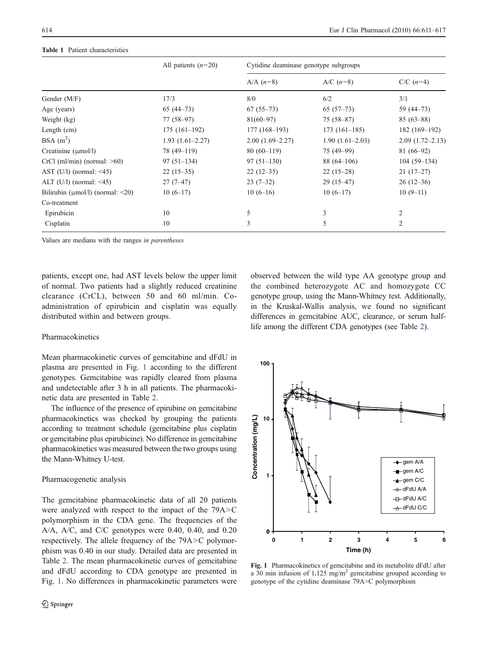|                                        | All patients $(n=20)$ |                   | Cytidine deaminase genotype subgroups |                      |  |  |  |  |  |  |  |  |
|----------------------------------------|-----------------------|-------------------|---------------------------------------|----------------------|--|--|--|--|--|--|--|--|
|                                        |                       | A/A $(n=8)$       | A/C $(n=8)$                           | $C/C$ ( <i>n</i> =4) |  |  |  |  |  |  |  |  |
| Gender (M/F)                           | 17/3                  | 8/0               | 6/2                                   | 3/1                  |  |  |  |  |  |  |  |  |
| Age (years)                            | $65(44-73)$           | $67(55-73)$       | $65(57-73)$                           | 59 (44–73)           |  |  |  |  |  |  |  |  |
| Weight (kg)                            | $77(58-97)$           | $81(60 - 97)$     | $75(58-87)$                           | $85(63-88)$          |  |  |  |  |  |  |  |  |
| Length $(cm)$                          | $175(161-192)$        | $177(168-193)$    | $173(161-185)$                        | 182 (169–192)        |  |  |  |  |  |  |  |  |
| BSA $(m^2)$                            | $1.93(1.61-2.27)$     | $2.00(1.69-2.27)$ | $1.90(1.61-2.03)$                     | $2.09(1.72 - 2.13)$  |  |  |  |  |  |  |  |  |
| Creatinine $(\mu \text{mol/l})$        | 78 (49-119)           | $80(60-119)$      | 75 (49–99)                            | $81(66-92)$          |  |  |  |  |  |  |  |  |
| $CrCl$ (ml/min) (normal: $>60$ )       | $97(51-134)$          | $97(51-130)$      | $88(64-106)$                          | $104(59-134)$        |  |  |  |  |  |  |  |  |
| AST $(U/l)$ (normal: <45)              | $22(15-35)$           | $22(12-35)$       | $22(15-28)$                           | $21(17-27)$          |  |  |  |  |  |  |  |  |
| ALT $(U/l)$ (normal: <45)              | $27(7-47)$            | $23(7-32)$        | $29(15-47)$                           | $26(12-36)$          |  |  |  |  |  |  |  |  |
| Bilirubin ( $\mu$ mol/l) (normal: <20) | $10(6-17)$            | $10(6-16)$        | $10(6-17)$                            | $10(9-11)$           |  |  |  |  |  |  |  |  |
| Co-treatment                           |                       |                   |                                       |                      |  |  |  |  |  |  |  |  |
| Epirubicin                             | 10                    | 5                 | 3                                     | 2                    |  |  |  |  |  |  |  |  |
| Cisplatin                              | 10                    | 3                 | 5                                     | 2                    |  |  |  |  |  |  |  |  |

#### <span id="page-3-0"></span>Table 1 Patient characteristics

Values are medians with the ranges in parentheses

patients, except one, had AST levels below the upper limit of normal. Two patients had a slightly reduced creatinine clearance (CrCL), between 50 and 60 ml/min. Coadministration of epirubicin and cisplatin was equally distributed within and between groups.

observed between the wild type AA genotype group and the combined heterozygote AC and homozygote CC genotype group, using the Mann-Whitney test. Additionally, in the Kruskal-Wallis analysis, we found no significant differences in gemcitabine AUC, clearance, or serum halflife among the different CDA genotypes (see Table [2\)](#page-4-0).

#### Pharmacokinetics

Mean pharmacokinetic curves of gemcitabine and dFdU in plasma are presented in Fig. 1 according to the different genotypes. Gemcitabine was rapidly cleared from plasma and undetectable after 3 h in all patients. The pharmacokinetic data are presented in Table [2.](#page-4-0)

The influence of the presence of epirubine on gemcitabine pharmacokinetics was checked by grouping the patients according to treatment schedule (gemcitabine plus cisplatin or gemcitabine plus epirubicine). No difference in gemcitabine pharmacokinetics was measured between the two groups using the Mann-Whitney U-test.

#### Pharmacogenetic analysis

The gemcitabine pharmacokinetic data of all 20 patients were analyzed with respect to the impact of the 79A>C polymorphism in the CDA gene. The frequencies of the A/A, A/C, and C/C genotypes were 0.40, 0.40, and 0.20 respectively. The allele frequency of the 79A>C polymorphism was 0.40 in our study. Detailed data are presented in Table [2](#page-4-0). The mean pharmacokinetic curves of gemcitabine and dFdU according to CDA genotype are presented in Fig. 1. No differences in pharmacokinetic parameters were



Fig. 1 Pharmacokinetics of gemcitabine and its metabolite dFdU after a 30 min infusion of 1,125 mg/m<sup>2</sup> gemcitabine grouped according to genotype of the cytidine deaminase 79A>C polymorphism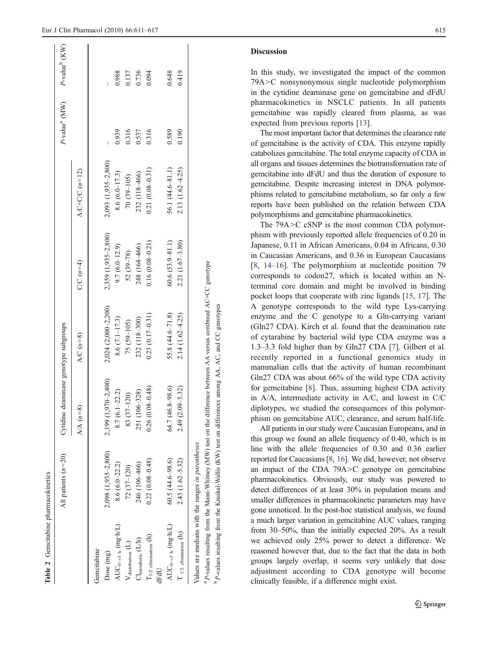<span id="page-4-0"></span>

|                                         | P-value <sup>b</sup> (KW)             |                                      |                          | 0.988                             | 0.137                        | 0.736                         | 0.094                         |      | 0.648<br>0.419                                                        |
|-----------------------------------------|---------------------------------------|--------------------------------------|--------------------------|-----------------------------------|------------------------------|-------------------------------|-------------------------------|------|-----------------------------------------------------------------------|
|                                         | P-value <sup>a</sup> (MW)             |                                      |                          | 0.939                             | 0.316                        | 0.537                         | 0.316                         |      | 0.589<br>0.190                                                        |
|                                         |                                       | A/C+C/C $(n=12)$                     | 2,093 (1,935-2,800)      | 8.6 $(6.0 - 17.3)$                | 70 (39-105)                  | 232 (118-466)                 | $0.21(0.08 - 0.31)$           |      | 56.1 (44.6-81.1)<br>2.13 (1.62-4.25)                                  |
|                                         |                                       | $C/C$ $(n=4)$                        | 2,359 (1,935-2,800)      | $9.7(6.0 - 12.9)$                 | $52(39 - 78)$                | 248 (164-466)                 | $0.16(0.08 - 0.21)$           |      | $60.6(53.9 - 81.1)$<br>2.21 (1.67-3.80)                               |
|                                         |                                       | $(n\!=\!8)$<br><b>A/C</b>            | $2,024$ $(2,000-2,200)$  | 8.6 $(7.1 - 17.3)$                | $(59 - 105)$<br>75           | 232 (118-300)                 | $0.23(0.17-0.31)$             |      | 55.8 (44.6-71.8)<br>$2.14(1.62 - 4.25)$                               |
|                                         | Cytidine deaminase genotype subgroups | $(n = 8)$<br>$\mathbb{A}/\mathbb{A}$ | (00)<br>2,199 (1,970-2   | $8.7(6.1 - 22.2)$                 | 83 (37-120)                  | 251 (106-328)                 | $0.26(0.08 - 0.48)$           |      | 2.49 (2.09-5.32)<br><u>ଚ</u><br>64.7 (46.8-98                         |
|                                         | All patients $(n=20)$                 |                                      | 2,098 (1,935-2,800)      | $8.6(6.0-22.2)$                   | $72(37-120)$                 | 246 (106-466)                 | $0.22(0.08 - 0.48)$           |      | $60.5(44.6 - 98.6)$<br>2.43 (1.62-5.32)                               |
| Gemcitabine pharmacokinetics<br>Table 2 |                                       |                                      | Gemcitabine<br>Dose (mg) | $AUC_{0\rightarrow 3 h}$ (mg·h/L) | $V_{\text{distribution}}(L)$ | $Cl_{\text{metabolic}} (L/h)$ | $\rm T_{1/2}$ elimination (h) | dFdU | $AUC_{0\rightarrow 3 h}$ (mg·h/L)<br>$\mathcal T$ 1/2 elimination (h) |

smaller differences in pharmacokinetic parameters may have gone unnoticed. In the post-hoc statistical analysis, we found a much larger variation in gemcitabine AUC values, ranging from 30–50%, than the initially expected 20%. As a result we achieved only 25% power to detect a difference. We reasoned however that, due to the fact that the data in both groups largely overlap, it seems very unlikely that dose adjustment according to CDA genotype will become clinically feasible, if a difference might exist.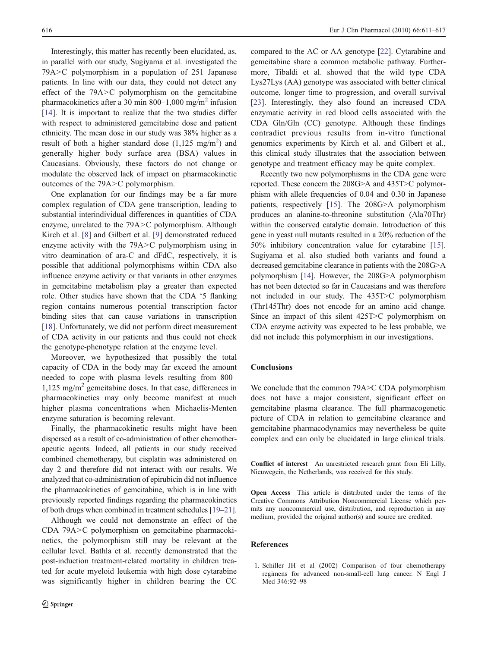<span id="page-5-0"></span>Interestingly, this matter has recently been elucidated, as, in parallel with our study, Sugiyama et al. investigated the 79A>C polymorphism in a population of 251 Japanese patients. In line with our data, they could not detect any effect of the 79A>C polymorphism on the gemcitabine pharmacokinetics after a 30 min 800–1,000 mg/m<sup>2</sup> infusion [\[14](#page-6-0)]. It is important to realize that the two studies differ with respect to administered gemcitabine dose and patient ethnicity. The mean dose in our study was 38% higher as a result of both a higher standard dose  $(1,125 \text{ mg/m}^2)$  and generally higher body surface area (BSA) values in Caucasians. Obviously, these factors do not change or modulate the observed lack of impact on pharmacokinetic outcomes of the 79A>C polymorphism.

One explanation for our findings may be a far more complex regulation of CDA gene transcription, leading to substantial interindividual differences in quantities of CDA enzyme, unrelated to the 79A>C polymorphism. Although Kirch et al. [\[8](#page-6-0)] and Gilbert et al. [[9\]](#page-6-0) demonstrated reduced enzyme activity with the 79A>C polymorphism using in vitro deamination of ara-C and dFdC, respectively, it is possible that additional polymorphisms within CDA also influence enzyme activity or that variants in other enzymes in gemcitabine metabolism play a greater than expected role. Other studies have shown that the CDA '5 flanking region contains numerous potential transcription factor binding sites that can cause variations in transcription [\[18](#page-6-0)]. Unfortunately, we did not perform direct measurement of CDA activity in our patients and thus could not check the genotype-phenotype relation at the enzyme level.

Moreover, we hypothesized that possibly the total capacity of CDA in the body may far exceed the amount needed to cope with plasma levels resulting from 800–  $1,125 \text{ mg/m}^2$  gemcitabine doses. In that case, differences in pharmacokinetics may only become manifest at much higher plasma concentrations when Michaelis-Menten enzyme saturation is becoming relevant.

Finally, the pharmacokinetic results might have been dispersed as a result of co-administration of other chemotherapeutic agents. Indeed, all patients in our study received combined chemotherapy, but cisplatin was administered on day 2 and therefore did not interact with our results. We analyzed that co-administration of epirubicin did not influence the pharmacokinetics of gemcitabine, which is in line with previously reported findings regarding the pharmacokinetics of both drugs when combined in treatment schedules [\[19](#page-6-0)–[21\]](#page-6-0).

Although we could not demonstrate an effect of the CDA 79A>C polymorphism on gemcitabine pharmacokinetics, the polymorphism still may be relevant at the cellular level. Bathla et al. recently demonstrated that the post-induction treatment-related mortality in children treated for acute myeloid leukemia with high dose cytarabine was significantly higher in children bearing the CC compared to the AC or AA genotype [\[22](#page-6-0)]. Cytarabine and gemcitabine share a common metabolic pathway. Furthermore, Tibaldi et al. showed that the wild type CDA Lys27Lys (AA) genotype was associated with better clinical outcome, longer time to progression, and overall survival [\[23](#page-6-0)]. Interestingly, they also found an increased CDA enzymatic activity in red blood cells associated with the CDA Gln/Gln (CC) genotype. Although these findings contradict previous results from in-vitro functional genomics experiments by Kirch et al. and Gilbert et al., this clinical study illustrates that the association between genotype and treatment efficacy may be quite complex.

Recently two new polymorphisms in the CDA gene were reported. These concern the 208G>A and 435T>C polymorphism with allele frequencies of 0.04 and 0.30 in Japanese patients, respectively [\[15](#page-6-0)]. The 208G>A polymorphism produces an alanine-to-threonine substitution (Ala70Thr) within the conserved catalytic domain. Introduction of this gene in yeast null mutants resulted in a 20% reduction of the 50% inhibitory concentration value for cytarabine [[15\]](#page-6-0). Sugiyama et al. also studied both variants and found a decreased gemcitabine clearance in patients with the 208G>A polymorphism [\[14\]](#page-6-0). However, the 208G>A polymorphism has not been detected so far in Caucasians and was therefore not included in our study. The 435T>C polymorphism (Thr145Thr) does not encode for an amino acid change. Since an impact of this silent 425T>C polymorphism on CDA enzyme activity was expected to be less probable, we did not include this polymorphism in our investigations.

### Conclusions

We conclude that the common 79A>C CDA polymorphism does not have a major consistent, significant effect on gemcitabine plasma clearance. The full pharmacogenetic picture of CDA in relation to gemcitabine clearance and gemcitabine pharmacodynamics may nevertheless be quite complex and can only be elucidated in large clinical trials.

Conflict of interest An unrestricted research grant from Eli Lilly, Nieuwegein, the Netherlands, was received for this study.

Open Access This article is distributed under the terms of the Creative Commons Attribution Noncommercial License which permits any noncommercial use, distribution, and reproduction in any medium, provided the original author(s) and source are credited.

## References

1. Schiller JH et al (2002) Comparison of four chemotherapy regimens for advanced non-small-cell lung cancer. N Engl J Med 346:92–98